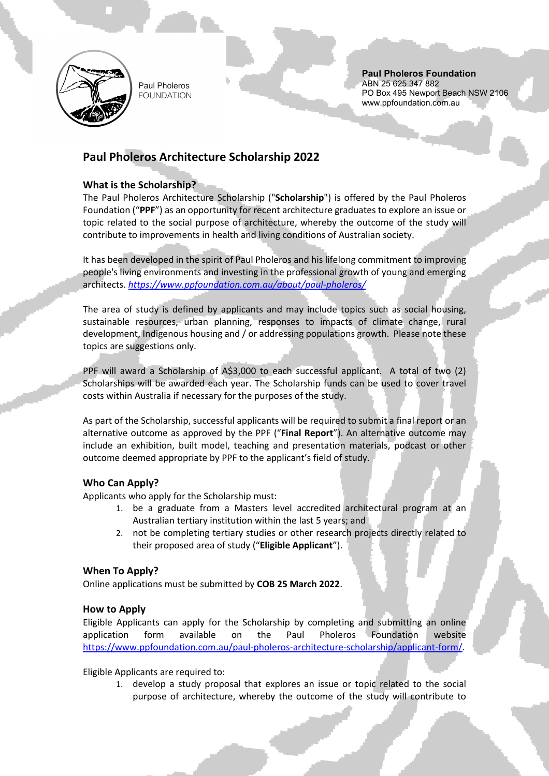

Paul Pholeros **FOUNDATION** 

#### **Paul Pholeros Foundation** ABN 25 625 347 882 PO Box 495 Newport Beach NSW 2106 www.ppfoundation.com.au

# **Paul Pholeros Architecture Scholarship 2022**

# **What is the Scholarship?**

The Paul Pholeros Architecture Scholarship ("**Scholarship**") is offered by the Paul Pholeros Foundation ("**PPF**") as an opportunity for recent architecture graduates to explore an issue or topic related to the social purpose of architecture, whereby the outcome of the study will contribute to improvements in health and living conditions of Australian society.

It has been developed in the spirit of Paul Pholeros and his lifelong commitment to improving people's living environments and investing in the professional growth of young and emerging architects. *<https://www.ppfoundation.com.au/about/paul-pholeros/>*

The area of study is defined by applicants and may include topics such as social housing, sustainable resources, urban planning, responses to impacts of climate change, rural development, Indigenous housing and / or addressing populations growth. Please note these topics are suggestions only.

PPF will award a Scholarship of A\$3,000 to each successful applicant. A total of two (2) Scholarships will be awarded each year. The Scholarship funds can be used to cover travel costs within Australia if necessary for the purposes of the study.

As part of the Scholarship, successful applicants will be required to submit a final report or an alternative outcome as approved by the PPF ("**Final Report**"). An alternative outcome may include an exhibition, built model, teaching and presentation materials, podcast or other outcome deemed appropriate by PPF to the applicant's field of study.

## **Who Can Apply?**

Applicants who apply for the Scholarship must:

- 1. be a graduate from a Masters level accredited architectural program at an Australian tertiary institution within the last 5 years; and
- 2. not be completing tertiary studies or other research projects directly related to their proposed area of study ("**Eligible Applicant**").

## **When To Apply?**

Online applications must be submitted by **COB 25 March 2022**.

## **How to Apply**

Eligible Applicants can apply for the Scholarship by completing and submitting an online application form available on the Paul Pholeros Foundation website [https://www.ppfoundation.com.au/paul-pholeros-architecture-scholarship/applicant-form/.](https://www.ppfoundation.com.au/paul-pholeros-architecture-scholarship/applicant-form/)

Eligible Applicants are required to:

1. develop a study proposal that explores an issue or topic related to the social purpose of architecture, whereby the outcome of the study will contribute to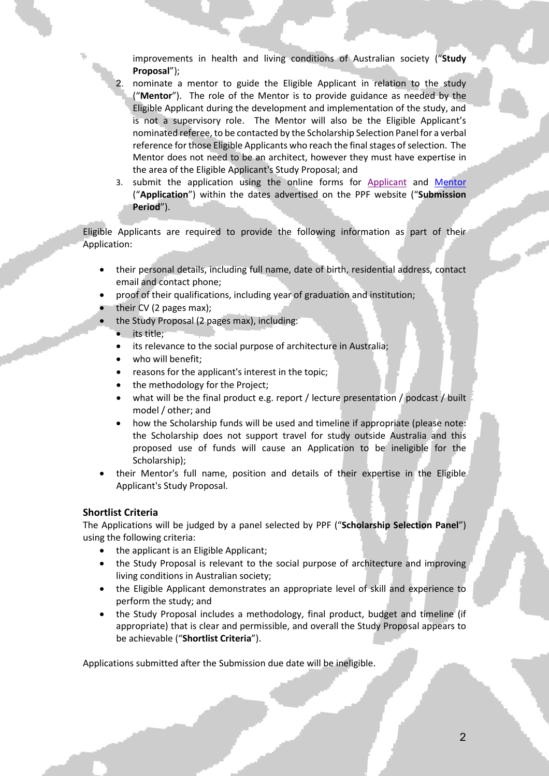improvements in health and living conditions of Australian society ("**Study Proposal**");

- 2. nominate a mentor to guide the Eligible Applicant in relation to the study ("**Mentor**"). The role of the Mentor is to provide guidance as needed by the Eligible Applicant during the development and implementation of the study, and is not a supervisory role. The Mentor will also be the Eligible Applicant's nominated referee, to be contacted by the Scholarship Selection Panel for a verbal reference for those Eligible Applicants who reach the final stages of selection. The Mentor does not need to be an architect, however they must have expertise in the area of the Eligible Applicant's Study Proposal; and
- 3. submit the application using the online forms for [Applicant](https://www.ppfoundation.com.au/paul-pholeros-architecture-scholarship/applicant-form/) and Mentor ("**Application**") within the dates advertised on the PPF website ("**Submission Period**").

Eligible Applicants are required to provide the following information as part of their Application:

- their personal details, including full name, date of birth, residential address, contact email and contact phone;
- proof of their qualifications, including year of graduation and institution;
- their CV (2 pages max);
	- the Study Proposal (2 pages max), including:
	- its title;
	- its relevance to the social purpose of architecture in Australia;
	- who will benefit:
	- reasons for the applicant's interest in the topic;
	- the methodology for the Project;
	- what will be the final product e.g. report / lecture presentation / podcast / built model / other; and
	- how the Scholarship funds will be used and timeline if appropriate (please note: the Scholarship does not support travel for study outside Australia and this proposed use of funds will cause an Application to be ineligible for the Scholarship);
- their Mentor's full name, position and details of their expertise in the Eligible Applicant's Study Proposal.

## **Shortlist Criteria**

The Applications will be judged by a panel selected by PPF ("**Scholarship Selection Panel**") using the following criteria:

- the applicant is an Eligible Applicant;
- the Study Proposal is relevant to the social purpose of architecture and improving living conditions in Australian society;
- the Eligible Applicant demonstrates an appropriate level of skill and experience to perform the study; and
- the Study Proposal includes a methodology, final product, budget and timeline (if appropriate) that is clear and permissible, and overall the Study Proposal appears to be achievable ("**Shortlist Criteria**").

Applications submitted after the Submission due date will be ineligible.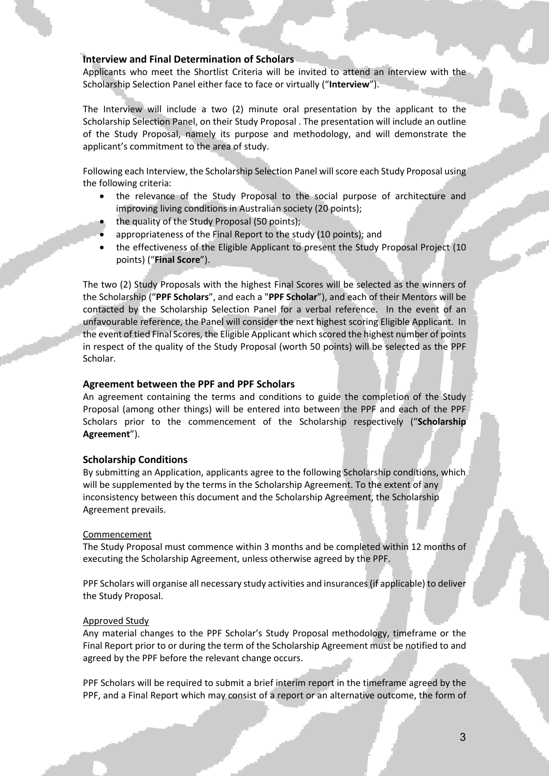## **Interview and Final Determination of Scholars**

Applicants who meet the Shortlist Criteria will be invited to attend an interview with the Scholarship Selection Panel either face to face or virtually ("**Interview**").

The Interview will include a two (2) minute oral presentation by the applicant to the Scholarship Selection Panel, on their Study Proposal . The presentation will include an outline of the Study Proposal, namely its purpose and methodology, and will demonstrate the applicant's commitment to the area of study.

Following each Interview, the Scholarship Selection Panel will score each Study Proposal using the following criteria:

- the relevance of the Study Proposal to the social purpose of architecture and improving living conditions in Australian society (20 points);
- the quality of the Study Proposal (50 points);
- appropriateness of the Final Report to the study (10 points); and
- the effectiveness of the Eligible Applicant to present the Study Proposal Project (10 points) ("**Final Score**").

The two (2) Study Proposals with the highest Final Scores will be selected as the winners of the Scholarship ("**PPF Scholars**", and each a "**PPF Scholar**"), and each of their Mentors will be contacted by the Scholarship Selection Panel for a verbal reference. In the event of an unfavourable reference, the Panel will consider the next highest scoring Eligible Applicant. In the event of tied Final Scores, the Eligible Applicant which scored the highest number of points in respect of the quality of the Study Proposal (worth 50 points) will be selected as the PPF Scholar.

## **Agreement between the PPF and PPF Scholars**

An agreement containing the terms and conditions to guide the completion of the Study Proposal (among other things) will be entered into between the PPF and each of the PPF Scholars prior to the commencement of the Scholarship respectively ("**Scholarship Agreement**").

### **Scholarship Conditions**

By submitting an Application, applicants agree to the following Scholarship conditions, which will be supplemented by the terms in the Scholarship Agreement. To the extent of any inconsistency between this document and the Scholarship Agreement, the Scholarship Agreement prevails.

### **Commencement**

The Study Proposal must commence within 3 months and be completed within 12 months of executing the Scholarship Agreement, unless otherwise agreed by the PPF.

PPF Scholars will organise all necessary study activities and insurances (if applicable) to deliver the Study Proposal.

### Approved Study

Any material changes to the PPF Scholar's Study Proposal methodology, timeframe or the Final Report prior to or during the term of the Scholarship Agreement must be notified to and agreed by the PPF before the relevant change occurs.

PPF Scholars will be required to submit a brief interim report in the timeframe agreed by the PPF, and a Final Report which may consist of a report or an alternative outcome, the form of